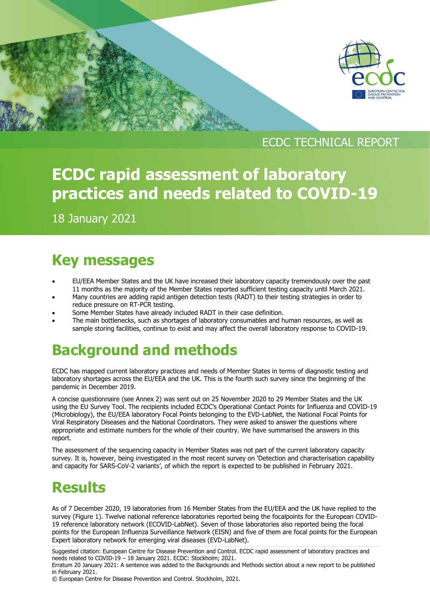

### ECDC TECHNICAL REPORT

# **ECDC rapid assessment of laboratory practices and needs related to COVID-19**

18 January 2021

[Type here]

# **Key messages**

- EU/EEA Member States and the UK have increased their laboratory capacity tremendously over the past 11 months as the majority of the Member States reported sufficient testing capacity until March 2021.
- Many countries are adding rapid antigen detection tests (RADT) to their testing strategies in order to reduce pressure on RT-PCR testing.
- Some Member States have already included RADT in their case definition.
- The main bottlenecks, such as shortages of laboratory consumables and human resources, as well as sample storing facilities, continue to exist and may affect the overall laboratory response to COVID-19.

# **Background and methods**

ECDC has mapped current laboratory practices and needs of Member States in terms of diagnostic testing and laboratory shortages across the EU/EEA and the UK. This is the fourth such survey since the beginning of the pandemic in December 2019.

A concise questionnaire (see Annex 2) was sent out on 25 November 2020 to 29 Member States and the UK using the EU Survey Tool. The recipients included ECDC's Operational Contact Points for Influenza and COVID-19 (Microbiology), the EU/EEA laboratory Focal Points belonging to the EVD-LabNet, the National Focal Points for Viral Respiratory Diseases and the National Coordinators. They were asked to answer the questions where appropriate and estimate numbers for the whole of their country. We have summarised the answers in this report.

The assessment of the sequencing capacity in Member States was not part of the current laboratory capacity survey. It is, however, being investigated in the most recent survey on 'Detection and characterisation capability and capacity for SARS-CoV-2 variants', of which the report is expected to be published in February 2021.

# **Results**

As of 7 December 2020, 19 laboratories from 16 Member States from the EU/EEA and the UK have replied to the survey (Figure 1). Twelve national reference laboratories reported being the focalpoints for the European COVID-19 reference laboratory network (ECOVID-LabNet). Seven of those laboratories also reported being the focal points for the European Influenza Surveillance Network (EISN) and five of them are focal points for the European Expert laboratory network for emerging viral diseases (EVD-LabNet).

Suggested citation: European Centre for Disease Prevention and Control. ECDC rapid assessment of laboratory practices and needs related to COVID-19 – 18 January 2021. ECDC: Stockholm; 2021.

Erratum 20 January 2021: A sentence was added to the Backgrounds and Methods section about a new report to be published in February 2021.

© European Centre for Disease Prevention and Control. Stockholm, 2021.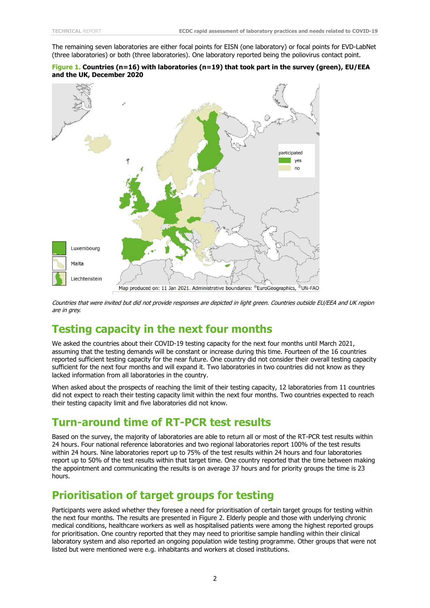The remaining seven laboratories are either focal points for EISN (one laboratory) or focal points for EVD-LabNet (three laboratories) or both (three laboratories). One laboratory reported being the poliovirus contact point.





Countries that were invited but did not provide responses are depicted in light green. Countries outside EU/EEA and UK region are in grey.

### **Testing capacity in the next four months**

We asked the countries about their COVID-19 testing capacity for the next four months until March 2021, assuming that the testing demands will be constant or increase during this time. Fourteen of the 16 countries reported sufficient testing capacity for the near future. One country did not consider their overall testing capacity sufficient for the next four months and will expand it. Two laboratories in two countries did not know as they lacked information from all laboratories in the country.

When asked about the prospects of reaching the limit of their testing capacity, 12 laboratories from 11 countries did not expect to reach their testing capacity limit within the next four months. Two countries expected to reach their testing capacity limit and five laboratories did not know.

### **Turn-around time of RT-PCR test results**

Based on the survey, the majority of laboratories are able to return all or most of the RT-PCR test results within 24 hours. Four national reference laboratories and two regional laboratories report 100% of the test results within 24 hours. Nine laboratories report up to 75% of the test results within 24 hours and four laboratories report up to 50% of the test results within that target time. One country reported that the time between making the appointment and communicating the results is on average 37 hours and for priority groups the time is 23 hours.

### **Prioritisation of target groups for testing**

Participants were asked whether they foresee a need for prioritisation of certain target groups for testing within the next four months. The results are presented in Figure 2. Elderly people and those with underlying chronic medical conditions, healthcare workers as well as hospitalised patients were among the highest reported groups for prioritisation. One country reported that they may need to prioritise sample handling within their clinical laboratory system and also reported an ongoing population wide testing programme. Other groups that were not listed but were mentioned were e.g. inhabitants and workers at closed institutions.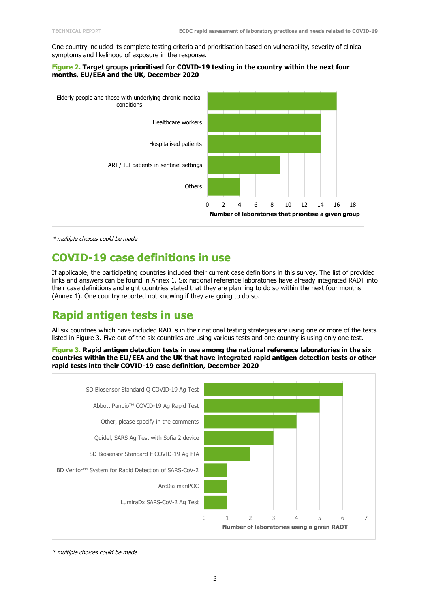One country included its complete testing criteria and prioritisation based on vulnerability, severity of clinical symptoms and likelihood of exposure in the response.

#### **Figure 2. Target groups prioritised for COVID-19 testing in the country within the next four months, EU/EEA and the UK, December 2020**



\* multiple choices could be made

### **COVID-19 case definitions in use**

If applicable, the participating countries included their current case definitions in this survey. The list of provided links and answers can be found in Annex 1. Six national reference laboratories have already integrated RADT into their case definitions and eight countries stated that they are planning to do so within the next four months (Annex 1). One country reported not knowing if they are going to do so.

### **Rapid antigen tests in use**

All six countries which have included RADTs in their national testing strategies are using one or more of the tests listed in Figure 3. Five out of the six countries are using various tests and one country is using only one test.

**Figure 3. Rapid antigen detection tests in use among the national reference laboratories in the six countries within the EU/EEA and the UK that have integrated rapid antigen detection tests or other rapid tests into their COVID-19 case definition, December 2020**



\* multiple choices could be made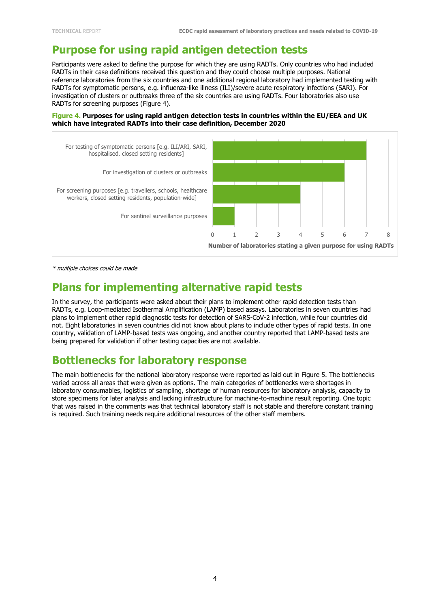### **Purpose for using rapid antigen detection tests**

Participants were asked to define the purpose for which they are using RADTs. Only countries who had included RADTs in their case definitions received this question and they could choose multiple purposes. National reference laboratories from the six countries and one additional regional laboratory had implemented testing with RADTs for symptomatic persons, e.g. influenza-like illness (ILI)/severe acute respiratory infections (SARI). For investigation of clusters or outbreaks three of the six countries are using RADTs. Four laboratories also use RADTs for screening purposes (Figure 4).

**Figure 4. Purposes for using rapid antigen detection tests in countries within the EU/EEA and UK which have integrated RADTs into their case definition, December 2020**



\* multiple choices could be made

### **Plans for implementing alternative rapid tests**

In the survey, the participants were asked about their plans to implement other rapid detection tests than RADTs, e.g. Loop-mediated Isothermal Amplification (LAMP) based assays. Laboratories in seven countries had plans to implement other rapid diagnostic tests for detection of SARS-CoV-2 infection, while four countries did not. Eight laboratories in seven countries did not know about plans to include other types of rapid tests. In one country, validation of LAMP-based tests was ongoing, and another country reported that LAMP-based tests are being prepared for validation if other testing capacities are not available.

### **Bottlenecks for laboratory response**

The main bottlenecks for the national laboratory response were reported as laid out in Figure 5. The bottlenecks varied across all areas that were given as options. The main categories of bottlenecks were shortages in laboratory consumables, logistics of sampling, shortage of human resources for laboratory analysis, capacity to store specimens for later analysis and lacking infrastructure for machine-to-machine result reporting. One topic that was raised in the comments was that technical laboratory staff is not stable and therefore constant training is required. Such training needs require additional resources of the other staff members.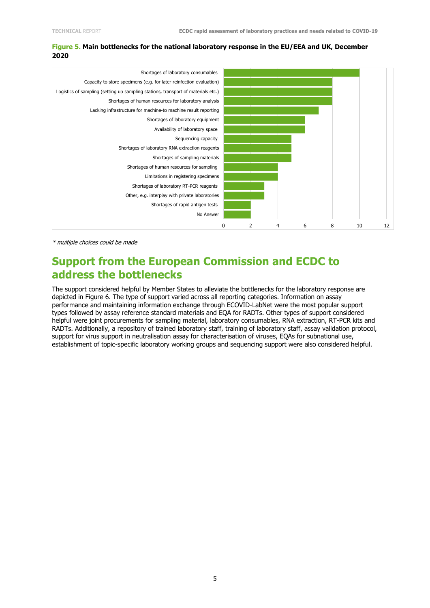#### **Figure 5. Main bottlenecks for the national laboratory response in the EU/EEA and UK, December 2020**



\* multiple choices could be made

### **Support from the European Commission and ECDC to address the bottlenecks**

The support considered helpful by Member States to alleviate the bottlenecks for the laboratory response are depicted in Figure 6. The type of support varied across all reporting categories. Information on assay performance and maintaining information exchange through ECOVID-LabNet were the most popular support types followed by assay reference standard materials and EQA for RADTs. Other types of support considered helpful were joint procurements for sampling material, laboratory consumables, RNA extraction, RT-PCR kits and RADTs. Additionally, a repository of trained laboratory staff, training of laboratory staff, assay validation protocol, support for virus support in neutralisation assay for characterisation of viruses, EQAs for subnational use, establishment of topic-specific laboratory working groups and sequencing support were also considered helpful.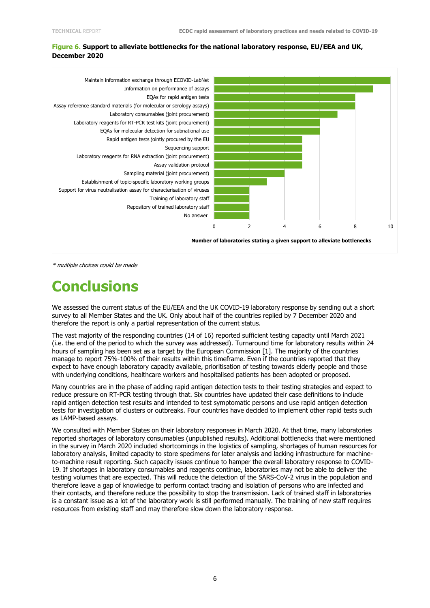#### **Figure 6. Support to alleviate bottlenecks for the national laboratory response, EU/EEA and UK, December 2020**



\* multiple choices could be made

# **Conclusions**

We assessed the current status of the EU/EEA and the UK COVID-19 laboratory response by sending out a short survey to all Member States and the UK. Only about half of the countries replied by 7 December 2020 and therefore the report is only a partial representation of the current status.

The vast majority of the responding countries (14 of 16) reported sufficient testing capacity until March 2021 (i.e. the end of the period to which the survey was addressed). Turnaround time for laboratory results within 24 hours of sampling has been set as a target by the European Commission [1]. The majority of the countries manage to report 75%-100% of their results within this timeframe. Even if the countries reported that they expect to have enough laboratory capacity available, prioritisation of testing towards elderly people and those with underlying conditions, healthcare workers and hospitalised patients has been adopted or proposed.

Many countries are in the phase of adding rapid antigen detection tests to their testing strategies and expect to reduce pressure on RT-PCR testing through that. Six countries have updated their case definitions to include rapid antigen detection test results and intended to test symptomatic persons and use rapid antigen detection tests for investigation of clusters or outbreaks. Four countries have decided to implement other rapid tests such as LAMP-based assays.

We consulted with Member States on their laboratory responses in March 2020. At that time, many laboratories reported shortages of laboratory consumables (unpublished results). Additional bottlenecks that were mentioned in the survey in March 2020 included shortcomings in the logistics of sampling, shortages of human resources for laboratory analysis, limited capacity to store specimens for later analysis and lacking infrastructure for machineto-machine result reporting. Such capacity issues continue to hamper the overall laboratory response to COVID-19. If shortages in laboratory consumables and reagents continue, laboratories may not be able to deliver the testing volumes that are expected. This will reduce the detection of the SARS-CoV-2 virus in the population and therefore leave a gap of knowledge to perform contact tracing and isolation of persons who are infected and their contacts, and therefore reduce the possibility to stop the transmission. Lack of trained staff in laboratories is a constant issue as a lot of the laboratory work is still performed manually. The training of new staff requires resources from existing staff and may therefore slow down the laboratory response.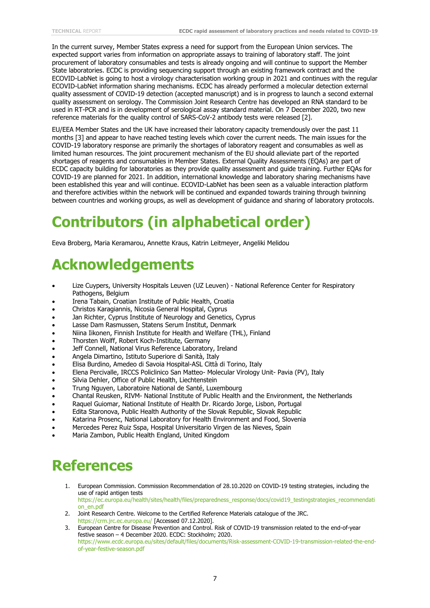In the current survey, Member States express a need for support from the European Union services. The expected support varies from information on appropriate assays to training of laboratory staff. The joint procurement of laboratory consumables and tests is already ongoing and will continue to support the Member State laboratories. ECDC is providing sequencing support through an existing framework contract and the ECOVID-LabNet is going to host a virology characterisation working group in 2021 and continues with the regular ECOVID-LabNet information sharing mechanisms. ECDC has already performed a molecular detection external quality assessment of COVID-19 detection (accepted manuscript) and is in progress to launch a second external quality assessment on serology. The Commission Joint Research Centre has developed an RNA standard to be used in RT-PCR and is in development of serological assay standard material. On 7 December 2020, two new reference materials for the quality control of SARS-CoV-2 antibody tests were released [2].

EU/EEA Member States and the UK have increased their laboratory capacity tremendously over the past 11 months [3] and appear to have reached testing levels which cover the current needs. The main issues for the COVID-19 laboratory response are primarily the shortages of laboratory reagent and consumables as well as limited human resources. The joint procurement mechanism of the EU should alleviate part of the reported shortages of reagents and consumables in Member States. External Quality Assessments (EQAs) are part of ECDC capacity building for laboratories as they provide quality assessment and guide training. Further EQAs for COVID-19 are planned for 2021. In addition, international knowledge and laboratory sharing mechanisms have been established this year and will continue. ECOVID-LabNet has been seen as a valuable interaction platform and therefore activities within the network will be continued and expanded towards training through twinning between countries and working groups, as well as development of guidance and sharing of laboratory protocols.

# **Contributors (in alphabetical order)**

Eeva Broberg, Maria Keramarou, Annette Kraus, Katrin Leitmeyer, Angeliki Melidou

# **Acknowledgements**

- [Lize Cuypers,](mailto:lize.cuypers@uzleuven.be) University Hospitals Leuven (UZ Leuven) National Reference Center for Respiratory Pathogens, Belgium
- [Irena Tabain,](mailto:irena.tabain@hzjz.hr) Croatian Institute of Public Health, Croatia
- Christos [Karagiannis,](mailto:ckaragiannis@mphs.moh) Nicosia General Hospital, Cyprus
- Jan Richter, Cyprus Institute of Neurology and Genetics, Cyprus
- Lasse Dam Rasmussen, Statens Serum Institut, Denmark
- [Niina Iikonen,](mailto:Niina%20Iikonen@thl.fi) Finnish Institute for Health and Welfare (THL), Finland
- Thorsten [Wolff,](mailto:WolffT@RKI.de) Robert Koch-Institute, Germany
- [Jeff Connell,](mailto:jeff.connell@ucd.ie) National Virus Reference Laboratory, Ireland
- [Angela Dimartino,](mailto:Angela%20Dimartino@iss.it) Istituto Superiore di Sanità, Italy
- [Elisa Burdino,](mailto:lisa%20Burdino@libero.it) Amedeo di Savoia Hospital-ASL Città di Torino, Italy
- [Elena Percivalle,](mailto:e.percivalle@smatteo.pv) IRCCS Policlinico San Matteo- Molecular Virology Unit- Pavia (PV), Italy
- [Silvia Dehler,](mailto:silvia.dehler@llv.li) Office of Public Health, Liechtenstein
- Trung Nguyen, Laboratoire National de Santé, Luxembourg
- Chantal [Reusken,](mailto:chantal.reusken@rivm.nl) RIVM- National Institute of Public Health and the Environment, the Netherlands
- [Raquel Guiomar,](mailto:raquel.guiomar@insa.min-saude.pt) National Institute of Health Dr. Ricardo Jorge, Lisbon, Portugal
- [Edita Staronova,](mailto:Edita%20Staronova@uvzsr.sk) Public Health Authority of the Slovak Republic, Slovak Republic
- [Katarina Prosenc,](mailto:katarina.prosenc@nlzoh) National Laboratory for Health Environment and Food, Slovenia
- Mercedes Perez Ruiz Sspa, Hospital Universitario Virgen de las Nieves, Spain
- Maria Zambon, Public Health England, United Kingdom

# **References**

1. European Commission. Commission Recommendation of 28.10.2020 on COVID-19 testing strategies, including the use of rapid antigen tests

[https://ec.europa.eu/health/sites/health/files/preparedness\\_response/docs/covid19\\_testingstrategies\\_recommendati](https://ec.europa.eu/health/sites/health/files/preparedness_response/docs/covid19_testingstrategies_recommendation_en.pdf) [on\\_en.pdf](https://ec.europa.eu/health/sites/health/files/preparedness_response/docs/covid19_testingstrategies_recommendation_en.pdf)

2. Joint Research Centre. Welcome to the Certified Reference Materials catalogue of the JRC. <https://crm.jrc.ec.europa.eu/> [Accessed 07.12.2020].

3. European Centre for Disease Prevention and Control. Risk of COVID-19 transmission related to the end-of-year festive season – 4 December 2020. ECDC: Stockholm; 2020. [https://www.ecdc.europa.eu/sites/default/files/documents/Risk-assessment-COVID-19-transmission-related-the-end](https://www.ecdc.europa.eu/sites/default/files/documents/Risk-assessment-COVID-19-transmission-related-the-end-of-year-festive-season.pdf)[of-year-festive-season.pdf](https://www.ecdc.europa.eu/sites/default/files/documents/Risk-assessment-COVID-19-transmission-related-the-end-of-year-festive-season.pdf)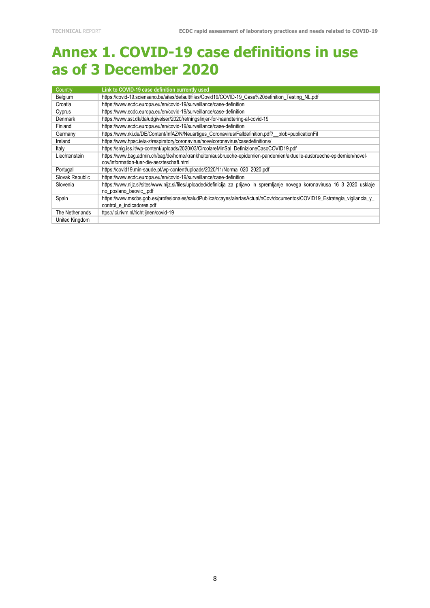## **Annex 1. COVID-19 case definitions in use as of 3 December 2020**

| Country         | Link to COVID-19 case definition currently used                                                                                 |
|-----------------|---------------------------------------------------------------------------------------------------------------------------------|
| Belgium         | https://covid-19.sciensano.be/sites/default/files/Covid19/COVID-19 Case%20definition Testing NL.pdf                             |
| Croatia         | https://www.ecdc.europa.eu/en/covid-19/surveillance/case-definition                                                             |
| Cyprus          | https://www.ecdc.europa.eu/en/covid-19/surveillance/case-definition                                                             |
| <b>Denmark</b>  | https://www.sst.dk/da/udgivelser/2020/retningslinjer-for-haandtering-af-covid-19                                                |
| Finland         | https://www.ecdc.europa.eu/en/covid-19/surveillance/case-definition                                                             |
| Germany         | https://www.rki.de/DE/Content/InfAZ/N/Neuartiges Coronavirus/Falldefinition.pdf? blob=publicationFil                            |
| Ireland         | https://www.hpsc.ie/a-z/respiratory/coronavirus/novelcoronavirus/casedefinitions/                                               |
| Italy           | https://snlg.iss.it/wp-content/uploads/2020/03/CircolareMinSal DefinizioneCasoCOVID19.pdf                                       |
| Liechtenstein   | https://www.baq.admin.ch/baq/de/home/krankheiten/ausbrueche-epidemien-pandemien/aktuelle-ausbrueche-epidemien/novel-            |
|                 | cov/information-fuer-die-aerzteschaft.html                                                                                      |
| Portugal        | https://covid19.min-saude.pt/wp-content/uploads/2020/11/Norma_020_2020.pdf                                                      |
| Slovak Republic | https://www.ecdc.europa.eu/en/covid-19/surveillance/case-definition                                                             |
| Slovenia        | https://www.nijz.si/sites/www.nijz.si/files/uploaded/definicija_za_prijavo_in_spremljanje_novega_koronavirusa_16_3_2020_usklaje |
|                 | no poslano beovic .pdf                                                                                                          |
| Spain           | https://www.mscbs.gob.es/profesionales/saludPublica/ccayes/alertasActual/nCov/documentos/COVID19_Estrategia_vigilancia_y_       |
|                 | control_e_indicadores.pdf                                                                                                       |
| The Netherlands | ttps://lci.rivm.nl/richtlijnen/covid-19                                                                                         |
| United Kingdom  |                                                                                                                                 |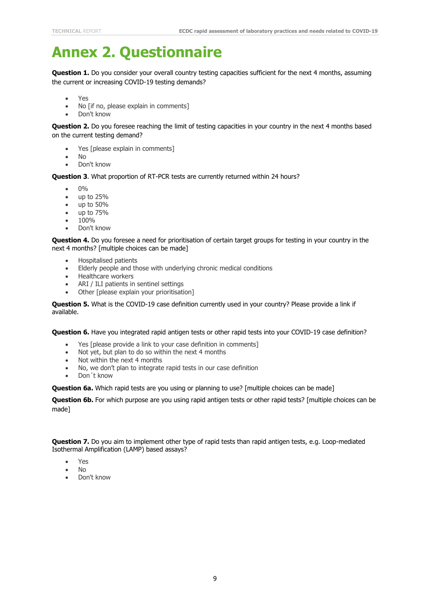# **Annex 2. Questionnaire**

**Question 1.** Do you consider your overall country testing capacities sufficient for the next 4 months, assuming the current or increasing COVID-19 testing demands?

- Yes
- No [if no, please explain in comments]
- Don't know

**Question 2.** Do you foresee reaching the limit of testing capacities in your country in the next 4 months based on the current testing demand?

- Yes [please explain in comments]
- No
- Don't know

**Question 3**. What proportion of RT-PCR tests are currently returned within 24 hours?

- $\Omega$ <sup> $\alpha$ </sup>
- up to 25%
- up to 50%
- up to 75%
- 100%
- Don't know

**Question 4.** Do you foresee a need for prioritisation of certain target groups for testing in your country in the next 4 months? [multiple choices can be made]

- Hospitalised patients
- Elderly people and those with underlying chronic medical conditions
- Healthcare workers
- ARI / ILI patients in sentinel settings
- Other [please explain your prioritisation]

**Question 5.** What is the COVID-19 case definition currently used in your country? Please provide a link if available.

**Question 6.** Have you integrated rapid antigen tests or other rapid tests into your COVID-19 case definition?

- Yes [please provide a link to your case definition in comments]
- Not yet, but plan to do so within the next 4 months
- Not within the next 4 months
- No, we don't plan to integrate rapid tests in our case definition
- Don´t know

**Question 6a.** Which rapid tests are you using or planning to use? [multiple choices can be made]

**Question 6b.** For which purpose are you using rapid antigen tests or other rapid tests? [multiple choices can be made]

**Question 7.** Do you aim to implement other type of rapid tests than rapid antigen tests, e.g. Loop-mediated Isothermal Amplification (LAMP) based assays?

- Yes
- No
- Don't know